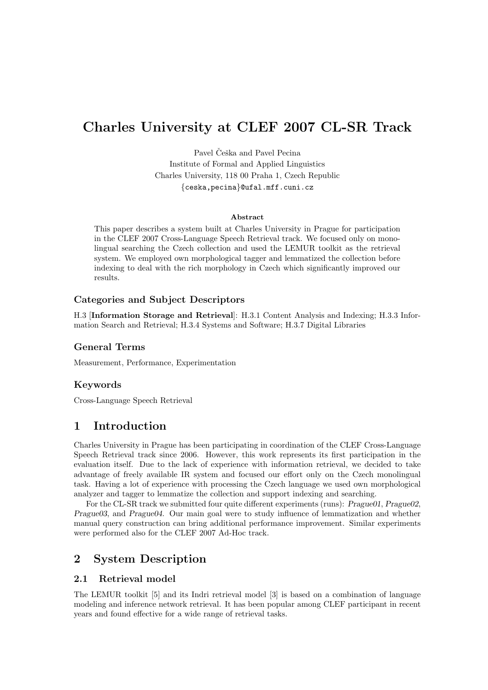# Charles University at CLEF 2007 CL-SR Track

Pavel Češka and Pavel Pecina Institute of Formal and Applied Linguistics Charles University, 118 00 Praha 1, Czech Republic {ceska,pecina}@ufal.mff.cuni.cz

#### Abstract

This paper describes a system built at Charles University in Prague for participation in the CLEF 2007 Cross-Language Speech Retrieval track. We focused only on monolingual searching the Czech collection and used the LEMUR toolkit as the retrieval system. We employed own morphological tagger and lemmatized the collection before indexing to deal with the rich morphology in Czech which significantly improved our results.

#### Categories and Subject Descriptors

H.3 [Information Storage and Retrieval]: H.3.1 Content Analysis and Indexing; H.3.3 Information Search and Retrieval; H.3.4 Systems and Software; H.3.7 Digital Libraries

## General Terms

Measurement, Performance, Experimentation

## Keywords

Cross-Language Speech Retrieval

## 1 Introduction

Charles University in Prague has been participating in coordination of the CLEF Cross-Language Speech Retrieval track since 2006. However, this work represents its first participation in the evaluation itself. Due to the lack of experience with information retrieval, we decided to take advantage of freely available IR system and focused our effort only on the Czech monolingual task. Having a lot of experience with processing the Czech language we used own morphological analyzer and tagger to lemmatize the collection and support indexing and searching.

For the CL-SR track we submitted four quite different experiments (runs): Prague01, Prague02, Prague03, and Prague04. Our main goal were to study influence of lemmatization and whether manual query construction can bring additional performance improvement. Similar experiments were performed also for the CLEF 2007 Ad-Hoc track.

## 2 System Description

## 2.1 Retrieval model

The LEMUR toolkit [5] and its Indri retrieval model [3] is based on a combination of language modeling and inference network retrieval. It has been popular among CLEF participant in recent years and found effective for a wide range of retrieval tasks.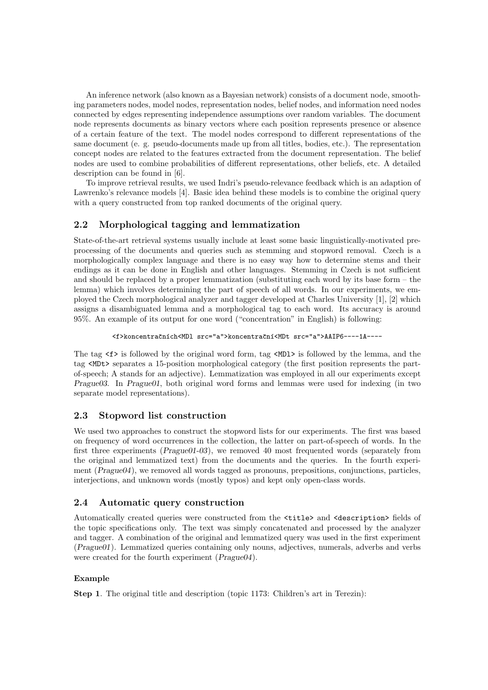An inference network (also known as a Bayesian network) consists of a document node, smoothing parameters nodes, model nodes, representation nodes, belief nodes, and information need nodes connected by edges representing independence assumptions over random variables. The document node represents documents as binary vectors where each position represents presence or absence of a certain feature of the text. The model nodes correspond to different representations of the same document (e. g. pseudo-documents made up from all titles, bodies, etc.). The representation concept nodes are related to the features extracted from the document representation. The belief nodes are used to combine probabilities of different representations, other beliefs, etc. A detailed description can be found in [6].

To improve retrieval results, we used Indri's pseudo-relevance feedback which is an adaption of Lawrenko's relevance models [4]. Basic idea behind these models is to combine the original query with a query constructed from top ranked documents of the original query.

## 2.2 Morphological tagging and lemmatization

State-of-the-art retrieval systems usually include at least some basic linguistically-motivated preprocessing of the documents and queries such as stemming and stopword removal. Czech is a morphologically complex language and there is no easy way how to determine stems and their endings as it can be done in English and other languages. Stemming in Czech is not sufficient and should be replaced by a proper lemmatization (substituting each word by its base form – the lemma) which involves determining the part of speech of all words. In our experiments, we employed the Czech morphological analyzer and tagger developed at Charles University [1], [2] which assigns a disambiguated lemma and a morphological tag to each word. Its accuracy is around 95%. An example of its output for one word ("concentration" in English) is following:

```
<f>koncentračních<MDl src="a">koncentrační<MDt src="a">AAIP6----1A----
```
The tag  $\leq f$  is followed by the original word form, tag  $\leq MDI$  is followed by the lemma, and the tag <MDt> separates a 15-position morphological category (the first position represents the partof-speech; A stands for an adjective). Lemmatization was employed in all our experiments except Prague03. In Prague01, both original word forms and lemmas were used for indexing (in two separate model representations).

## 2.3 Stopword list construction

We used two approaches to construct the stopword lists for our experiments. The first was based on frequency of word occurrences in the collection, the latter on part-of-speech of words. In the first three experiments (Prague01-03), we removed 40 most frequented words (separately from the original and lemmatized text) from the documents and the queries. In the fourth experiment (*Prague04*), we removed all words tagged as pronouns, prepositions, conjunctions, particles, interjections, and unknown words (mostly typos) and kept only open-class words.

## 2.4 Automatic query construction

Automatically created queries were constructed from the <title> and <description> fields of the topic specifications only. The text was simply concatenated and processed by the analyzer and tagger. A combination of the original and lemmatized query was used in the first experiment (Prague01). Lemmatized queries containing only nouns, adjectives, numerals, adverbs and verbs were created for the fourth experiment ( $Prague04$ ).

#### Example

Step 1. The original title and description (topic 1173: Children's art in Terezin):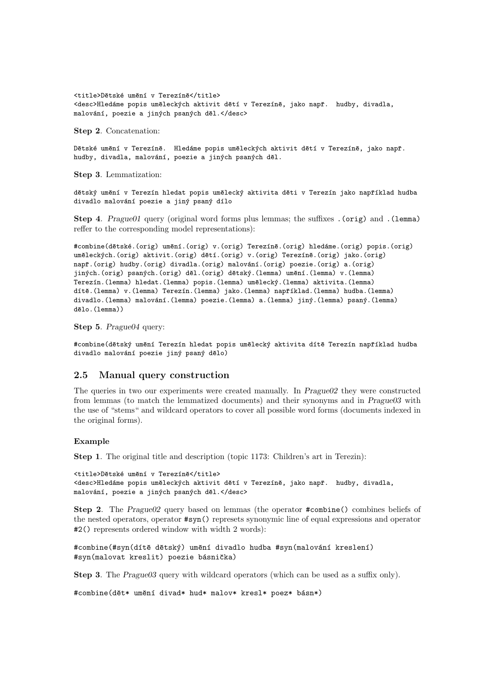<title>Dětské umění v Terezíně</title> <desc>Hledáme popis uměleckých aktivit dětí v Terezíně, jako např. hudby, divadla, malování, poezie a jiných psaných děl.</desc>

Step 2. Concatenation:

Dětské umění v Terezíně. Hledáme popis uměleckých aktivit dětí v Terezíně, jako např. hudby, divadla, malování, poezie a jiných psaných děl.

Step 3. Lemmatization:

dětský umění v Terezín hledat popis umělecký aktivita děti v Terezín jako například hudba divadlo malování poezie a jiný psaný dílo

Step 4. Prague01 query (original word forms plus lemmas; the suffixes .(orig) and .(lemma) reffer to the corresponding model representations):

#combine(dětské.(orig) umění.(orig) v.(orig) Terezíně.(orig) hledáme.(orig) popis.(orig) uměleckých.(orig) aktivit.(orig) dětí.(orig) v.(orig) Terezíně.(orig) jako.(orig) např.(orig) hudby.(orig) divadla.(orig) malování.(orig) poezie.(orig) a.(orig) jiných.(orig) psaných.(orig) děl.(orig) dětský.(lemma) umění.(lemma) v.(lemma) Terezín.(lemma) hledat.(lemma) popis.(lemma) umělecký.(lemma) aktivita.(lemma) dítě.(lemma) v.(lemma) Terezín.(lemma) jako.(lemma) například.(lemma) hudba.(lemma) divadlo.(lemma) malování.(lemma) poezie.(lemma) a.(lemma) jiný.(lemma) psaný.(lemma) dělo.(lemma))

Step 5. Prague04 query:

#combine(dětský umění Terezín hledat popis umělecký aktivita dítě Terezín například hudba divadlo malování poezie jiný psaný dělo)

#### 2.5 Manual query construction

The queries in two our experiments were created manually. In Prague02 they were constructed from lemmas (to match the lemmatized documents) and their synonyms and in Prague03 with the use of "stems" and wildcard operators to cover all possible word forms (documents indexed in the original forms).

#### Example

Step 1. The original title and description (topic 1173: Children's art in Terezin):

```
<title>Dětské umění v Terezíně</title>
<desc>Hledáme popis uměleckých aktivit dětí v Terezíně, jako např. hudby, divadla,
malování, poezie a jiných psaných děl.</desc>
```
Step 2. The Prague02 query based on lemmas (the operator #combine() combines beliefs of the nested operators, operator #syn() represets synonymic line of equal expressions and operator #2() represents ordered window with width 2 words):

#combine(#syn(dítě dětský) umění divadlo hudba #syn(malování kreslení) #syn(malovat kreslit) poezie básnička)

Step 3. The *Prague03* query with wildcard operators (which can be used as a suffix only).

#combine(dět\* umění divad\* hud\* malov\* kresl\* poez\* básn\*)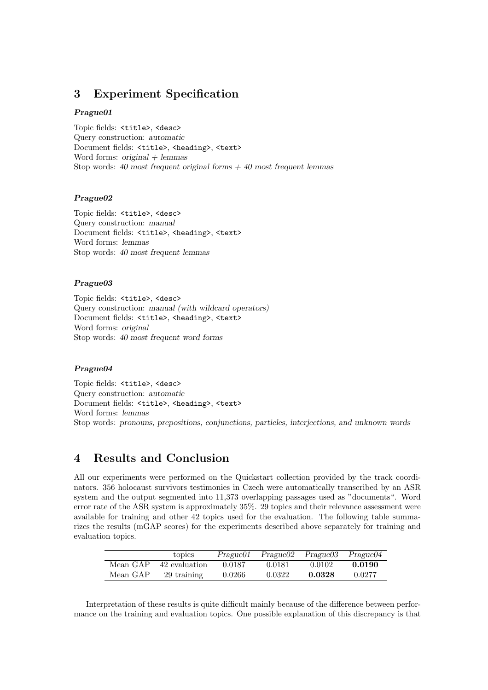## 3 Experiment Specification

#### Prague01

Topic fields: <title>, <desc> Query construction: automatic Document fields: <title>, <heading>, <text> Word forms:  $original + lemmas$ Stop words: 40 most frequent original forms  $+$  40 most frequent lemmas

#### Prague02

Topic fields: <title>, <desc> Query construction: manual Document fields: <title>, <heading>, <text> Word forms: lemmas Stop words: 40 most frequent lemmas

#### Prague03

Topic fields: <title>, <desc> Query construction: manual (with wildcard operators) Document fields: <title>, <heading>, <text> Word forms: original Stop words: 40 most frequent word forms

#### Prague04

Topic fields: <title>, <desc> Query construction: automatic Document fields: <title>, <heading>, <text> Word forms: lemmas Stop words: pronouns, prepositions, conjunctions, particles, interjections, and unknown words

## 4 Results and Conclusion

All our experiments were performed on the Quickstart collection provided by the track coordinators. 356 holocaust survivors testimonies in Czech were automatically transcribed by an ASR system and the output segmented into 11,373 overlapping passages used as "documents". Word error rate of the ASR system is approximately 35%. 29 topics and their relevance assessment were available for training and other 42 topics used for the evaluation. The following table summarizes the results (mGAP scores) for the experiments described above separately for training and evaluation topics.

|          | topics        | Prague01 |        | $Prague02$ $Prague03$ | Prague04 |
|----------|---------------|----------|--------|-----------------------|----------|
| Mean GAP | 42 evaluation | 0.0187   | 0.0181 | 0.0102                | 0.0190   |
| Mean GAP | 29 training   | 0.0266   | 0.0322 | 0.0328                | 0.0277   |

Interpretation of these results is quite difficult mainly because of the difference between performance on the training and evaluation topics. One possible explanation of this discrepancy is that